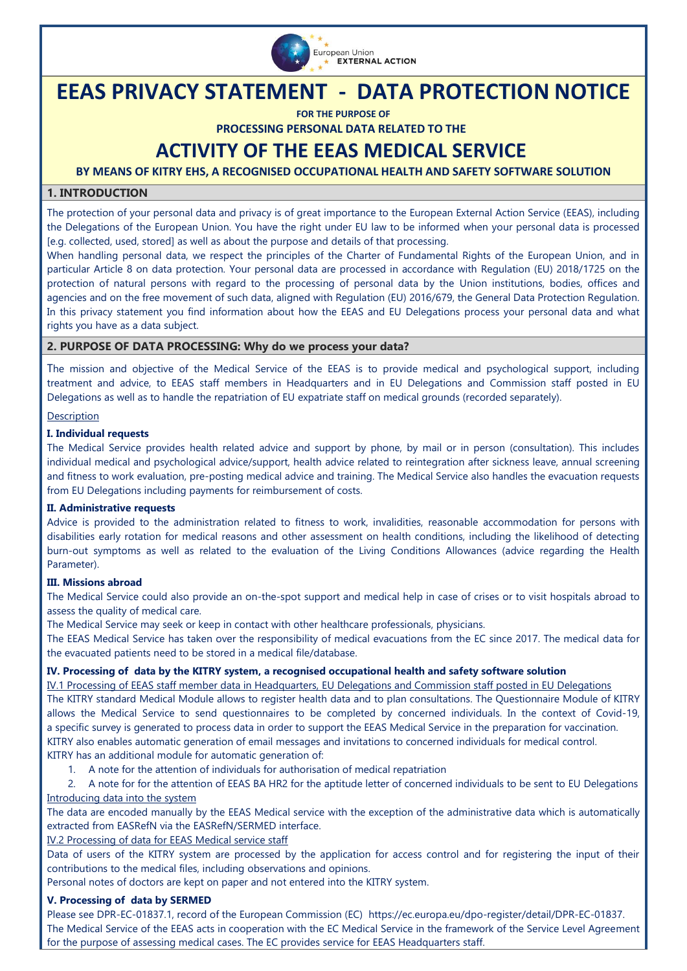

# **EEAS PRIVACY STATEMENT - DATA PROTECTION NOTICE**

**FOR THE PURPOSE OF**

**PROCESSING PERSONAL DATA RELATED TO THE**

## **ACTIVITY OF THE EEAS MEDICAL SERVICE**

**BY MEANS OF KITRY EHS, A RECOGNISED OCCUPATIONAL HEALTH AND SAFETY SOFTWARE SOLUTION**

### **1. INTRODUCTION**

The protection of your personal data and privacy is of great importance to the European External Action Service (EEAS), including the Delegations of the European Union. You have the right under EU law to be informed when your personal data is processed [e.g. collected, used, stored] as well as about the purpose and details of that processing.

When handling personal data, we respect the principles of the Charter of Fundamental Rights of the European Union, and in particular Article 8 on data protection. Your personal data are processed in accordance with [Regulation \(EU\) 2018/1725 on the](https://eur-lex.europa.eu/legal-content/EN/TXT/?uri=CELEX%3A32018R1725)  [protection of natural persons with regard to the processing of personal data by the Union institutions, bodies, offices and](https://eur-lex.europa.eu/legal-content/EN/TXT/?uri=CELEX%3A32018R1725)  [agencies and on the free movement of such data,](https://eur-lex.europa.eu/legal-content/EN/TXT/?uri=CELEX%3A32018R1725) aligned with Regulation (EU) 2016/679, the General Data Protection Regulation. In this privacy statement you find information about how the EEAS and EU Delegations process your personal data and what rights you have as a data subject.

### **2. PURPOSE OF DATA PROCESSING: Why do we process your data?**

The mission and objective of the Medical Service of the EEAS is to provide medical and psychological support, including treatment and advice, to EEAS staff members in Headquarters and in EU Delegations and Commission staff posted in EU Delegations as well as to handle the repatriation of EU expatriate staff on medical grounds (recorded separately).

### Description

### **I. Individual requests**

The Medical Service provides health related advice and support by phone, by mail or in person (consultation). This includes individual medical and psychological advice/support, health advice related to reintegration after sickness leave, annual screening and fitness to work evaluation, pre-posting medical advice and training. The Medical Service also handles the evacuation requests from EU Delegations including payments for reimbursement of costs.

### **II. Administrative requests**

Advice is provided to the administration related to fitness to work, invalidities, reasonable accommodation for persons with disabilities early rotation for medical reasons and other assessment on health conditions, including the likelihood of detecting burn-out symptoms as well as related to the evaluation of the Living Conditions Allowances (advice regarding the Health Parameter).

### **III. Missions abroad**

The Medical Service could also provide an on-the-spot support and medical help in case of crises or to visit hospitals abroad to assess the quality of medical care.

The Medical Service may seek or keep in contact with other healthcare professionals, physicians.

The EEAS Medical Service has taken over the responsibility of medical evacuations from the EC since 2017. The medical data for the evacuated patients need to be stored in a medical file/database.

### **IV. Processing of data by the KITRY system, a recognised occupational health and safety software solution**

IV.1 Processing of EEAS staff member data in Headquarters, EU Delegations and Commission staff posted in EU Delegations The KITRY standard Medical Module allows to register health data and to plan consultations. The Questionnaire Module of KITRY allows the Medical Service to send questionnaires to be completed by concerned individuals. In the context of Covid-19, a specific survey is generated to process data in order to support the EEAS Medical Service in the preparation for vaccination. KITRY also enables automatic generation of email messages and invitations to concerned individuals for medical control. KITRY has an additional module for automatic generation of:

1. A note for the attention of individuals for authorisation of medical repatriation

2. A note for for the attention of EEAS BA HR2 for the aptitude letter of concerned individuals to be sent to EU Delegations Introducing data into the system

The data are encoded manually by the EEAS Medical service with the exception of the administrative data which is automatically extracted from EASRefN via the EASRefN/SERMED interface.

IV.2 Processing of data for EEAS Medical service staff

Data of users of the KITRY system are processed by the application for access control and for registering the input of their contributions to the medical files, including observations and opinions.

Personal notes of doctors are kept on paper and not entered into the KITRY system.

### **V. Processing of data by SERMED**

Please see DPR-EC-01837.1, record of the European Commission (EC) https://ec.europa.eu/dpo-register/detail/DPR-EC-01837. The Medical Service of the EEAS acts in cooperation with the EC Medical Service in the framework of the Service Level Agreement for the purpose of assessing medical cases. The EC provides service for EEAS Headquarters staff.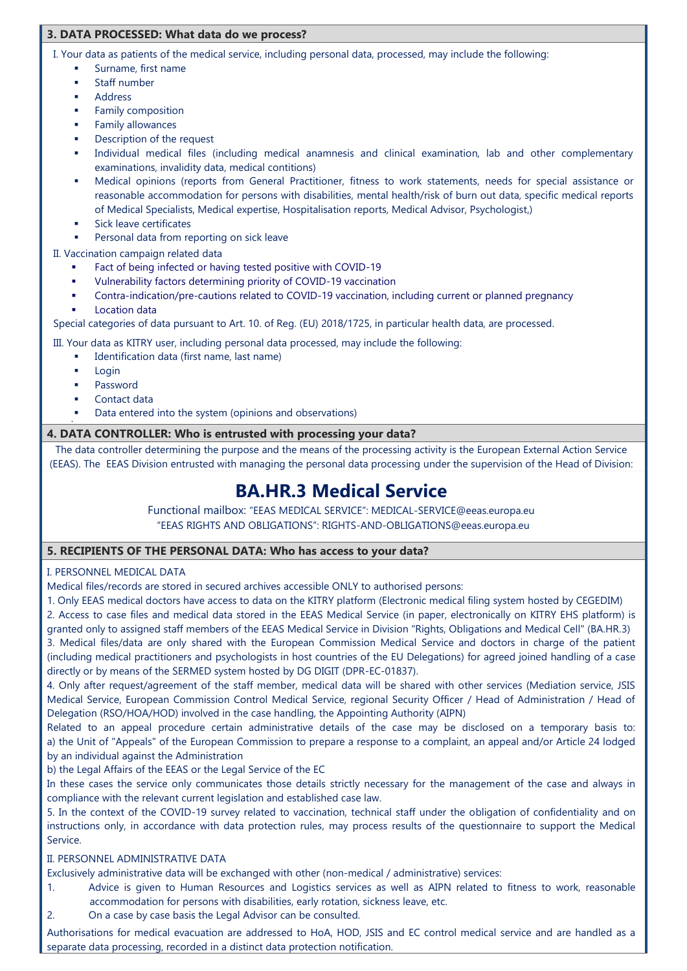### **3. DATA PROCESSED: What data do we process?**

I. Your data as patients of the medical service, including personal data, processed, may include the following:

- Surname, first name
	- Staff number
	- Address
	- Family composition
	- Family allowances
	- Description of the request
	- Individual medical files (including medical anamnesis and clinical examination, lab and other complementary examinations, invalidity data, medical contitions)
	- Medical opinions (reports from General Practitioner, fitness to work statements, needs for special assistance or reasonable accommodation for persons with disabilities, mental health/risk of burn out data, specific medical reports of Medical Specialists, Medical expertise, Hospitalisation reports, Medical Advisor, Psychologist,)
	- Sick leave certificates
	- Personal data from reporting on sick leave

II. Vaccination campaign related data

- Fact of being infected or having tested positive with COVID-19
- Vulnerability factors determining priority of COVID-19 vaccination
- Contra-indication/pre-cautions related to COVID-19 vaccination, including current or planned pregnancy
- Location data

Special categories of data pursuant to Art. 10. of Reg. (EU) 2018/1725, in particular health data, are processed.

III. Your data as KITRY user, including personal data processed, may include the following:

- Identification data (first name, last name)
	- Login

۰

- Password
- Contact data
- Data entered into the system (opinions and observations)

### **4. DATA CONTROLLER: Who is entrusted with processing your data?**

The data controller determining the purpose and the means of the processing activity is the European External Action Service (EEAS). The EEAS Division entrusted with managing the personal data processing under the supervision of the Head of Division:

## **BA.HR.3 Medical Service**

Functional mailbox: "EEAS MEDICAL SERVICE": MEDICAL-SERVICE@eeas.europa.eu "EEAS RIGHTS AND OBLIGATIONS": RIGHTS-AND-OBLIGATIONS@eeas.europa.eu

### **5. RECIPIENTS OF THE PERSONAL DATA: Who has access to your data?**

I. PERSONNEL MEDICAL DATA

Medical files/records are stored in secured archives accessible ONLY to authorised persons:

1. Only EEAS medical doctors have access to data on the KITRY platform (Electronic medical filing system hosted by CEGEDIM)

2. Access to case files and medical data stored in the EEAS Medical Service (in paper, electronically on KITRY EHS platform) is granted only to assigned staff members of the EEAS Medical Service in Division "Rights, Obligations and Medical Cell" (BA.HR.3) 3. Medical files/data are only shared with the European Commission Medical Service and doctors in charge of the patient (including medical practitioners and psychologists in host countries of the EU Delegations) for agreed joined handling of a case directly or by means of the SERMED system hosted by DG DIGIT (DPR-EC-01837).

4. Only after request/agreement of the staff member, medical data will be shared with other services (Mediation service, JSIS Medical Service, European Commission Control Medical Service, regional Security Officer / Head of Administration / Head of Delegation (RSO/HOA/HOD) involved in the case handling, the Appointing Authority (AIPN)

Related to an appeal procedure certain administrative details of the case may be disclosed on a temporary basis to: a) the Unit of "Appeals" of the European Commission to prepare a response to a complaint, an appeal and/or Article 24 lodged by an individual against the Administration

b) the Legal Affairs of the EEAS or the Legal Service of the EC

In these cases the service only communicates those details strictly necessary for the management of the case and always in compliance with the relevant current legislation and established case law.

5. In the context of the COVID-19 survey related to vaccination, technical staff under the obligation of confidentiality and on instructions only, in accordance with data protection rules, may process results of the questionnaire to support the Medical Service.

### II. PERSONNEL ADMINISTRATIVE DATA

Exclusively administrative data will be exchanged with other (non-medical / administrative) services:

- 1. Advice is given to Human Resources and Logistics services as well as AIPN related to fitness to work, reasonable accommodation for persons with disabilities, early rotation, sickness leave, etc.
- 2. On a case by case basis the Legal Advisor can be consulted.

Authorisations for medical evacuation are addressed to HoA, HOD, JSIS and EC control medical service and are handled as a separate data processing, recorded in a distinct data protection notification.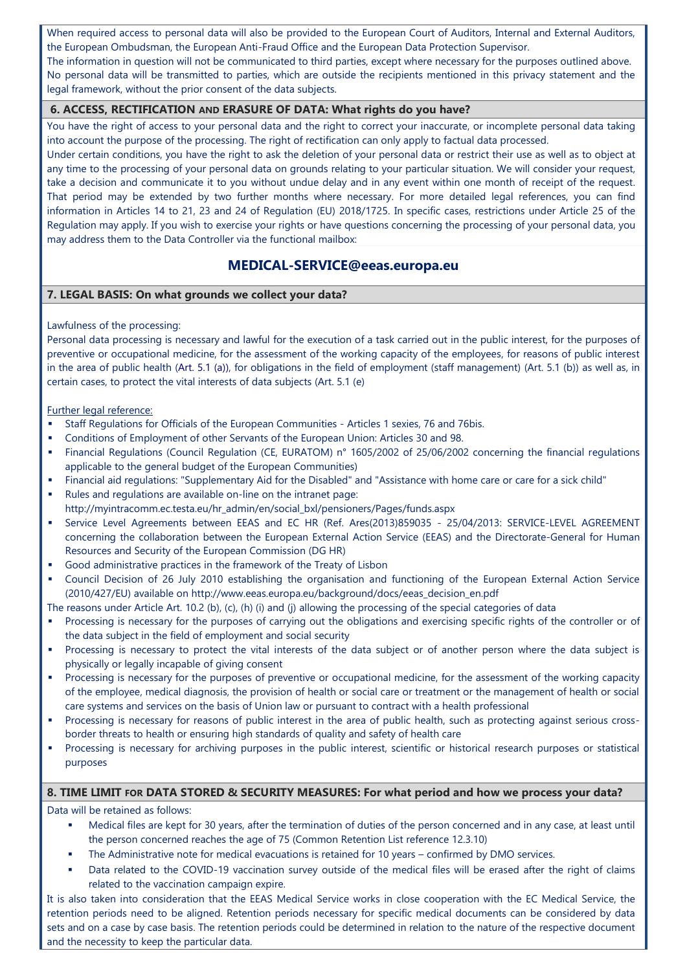When required access to personal data will also be provided to the European Court of Auditors, Internal and External Auditors, the European Ombudsman, the European Anti-Fraud Office and the European Data Protection Supervisor.

The information in question will not be communicated to third parties, except where necessary for the purposes outlined above. No personal data will be transmitted to parties, which are outside the recipients mentioned in this privacy statement and the legal framework, without the prior consent of the data subjects.

### **6. ACCESS, RECTIFICATION AND ERASURE OF DATA: What rights do you have?**

You have the right of access to your personal data and the right to correct your inaccurate, or incomplete personal data taking into account the purpose of the processing. The right of rectification can only apply to factual data processed.

Under certain conditions, you have the right to ask the deletion of your personal data or restrict their use as well as to object at any time to the processing of your personal data on grounds relating to your particular situation. We will consider your request, take a decision and communicate it to you without undue delay and in any event within one month of receipt of the request. That period may be extended by two further months where necessary. For more detailed legal references, you can find information in Articles 14 to 21, 23 and 24 of Regulation (EU) 2018/1725. In specific cases, restrictions under Article 25 of the Regulation may apply. If you wish to exercise your rights or have questions concerning the processing of your personal data, you may address them to the Data Controller via the functional mailbox:

### **MEDICAL-SERVICE@eeas.europa.eu**

### **7. LEGAL BASIS: On what grounds we collect your data?**

### Lawfulness of the processing:

Personal data processing is necessary and lawful for the execution of a task carried out in the public interest, for the purposes of preventive or occupational medicine, for the assessment of the working capacity of the employees, for reasons of public interest in the area of public health (Art. 5.1 (a)), for obligations in the field of employment (staff management) (Art. 5.1 (b)) as well as, in certain cases, to protect the vital interests of data subjects (Art. 5.1 (e)

### Further legal reference:

- Staff Regulations for Officials of the European Communities Articles 1 sexies, 76 and 76bis.
- Conditions of Employment of other Servants of the European Union: Articles 30 and 98.
- Financial Regulations (Council Regulation (CE, EURATOM) n° 1605/2002 of 25/06/2002 concerning the financial regulations applicable to the general budget of the European Communities)
- Financial aid regulations: "Supplementary Aid for the Disabled" and "Assistance with home care or care for a sick child"
- Rules and regulations are available on-line on the intranet page: http://myintracomm.ec.testa.eu/hr\_admin/en/social\_bxl/pensioners/Pages/funds.aspx
- Service Level Agreements between EEAS and EC HR (Ref. Ares(2013)859035 25/04/2013: SERVICE-LEVEL AGREEMENT concerning the collaboration between the European External Action Service (EEAS) and the Directorate-General for Human Resources and Security of the European Commission (DG HR)
- Good administrative practices in the framework of the Treaty of Lisbon
- Council Decision of 26 July 2010 establishing the organisation and functioning of the European External Action Service (2010/427/EU) available on [http://www.eeas.europa.eu/background/docs/eeas\\_decision\\_en.pdf](http://www.eeas.europa.eu/background/docs/eeas_decision_en.pdf)

The reasons under Article Art. 10.2 (b), (c), (h) (i) and (j) allowing the processing of the special categories of data

- Processing is necessary for the purposes of carrying out the obligations and exercising specific rights of the controller or of the data subject in the field of employment and social security
- Processing is necessary to protect the vital interests of the data subject or of another person where the data subject is physically or legally incapable of giving consent
- Processing is necessary for the purposes of preventive or occupational medicine, for the assessment of the working capacity of the employee, medical diagnosis, the provision of health or social care or treatment or the management of health or social care systems and services on the basis of Union law or pursuant to contract with a health professional
- Processing is necessary for reasons of public interest in the area of public health, such as protecting against serious crossborder threats to health or ensuring high standards of quality and safety of health care
- Processing is necessary for archiving purposes in the public interest, scientific or historical research purposes or statistical purposes

### **8. TIME LIMIT FOR DATA STORED & SECURITY MEASURES: For what period and how we process your data?**

Data will be retained as follows:

- Medical files are kept for 30 years, after the termination of duties of the person concerned and in any case, at least until the person concerned reaches the age of 75 (Common Retention List reference 12.3.10)
- The Administrative note for medical evacuations is retained for 10 years confirmed by DMO services.
- Data related to the COVID-19 vaccination survey outside of the medical files will be erased after the right of claims related to the vaccination campaign expire.

It is also taken into consideration that the EEAS Medical Service works in close cooperation with the EC Medical Service, the retention periods need to be aligned. Retention periods necessary for specific medical documents can be considered by data sets and on a case by case basis. The retention periods could be determined in relation to the nature of the respective document and the necessity to keep the particular data.